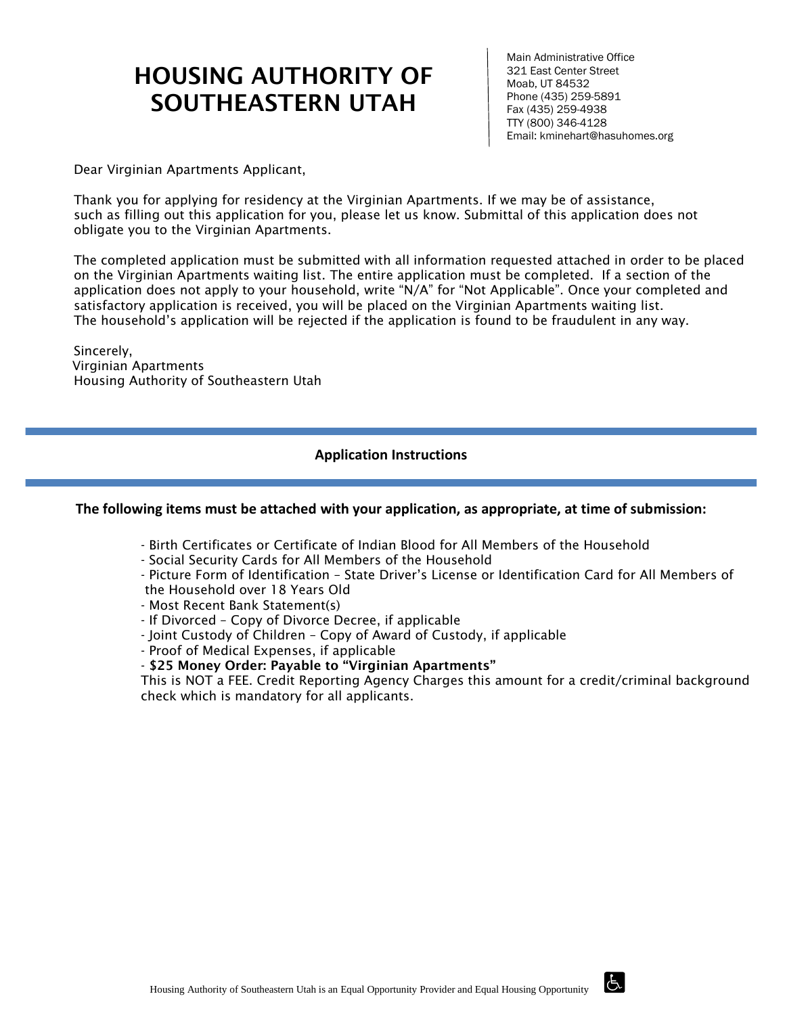# HOUSING AUTHORITY OF SOUTHEASTERN UTAH

Main Administrative Office 321 East Center Street Moab, UT 84532 Phone (435) 259-5891 Fax (435) 259-4938 TTY (800) 346-4128 Email: kminehart@hasuhomes.org

 $\overline{d}$ 

Dear Virginian Apartments Applicant,

Thank you for applying for residency at the Virginian Apartments. If we may be of assistance, such as filling out this application for you, please let us know. Submittal of this application does not obligate you to the Virginian Apartments.

The completed application must be submitted with all information requested attached in order to be placed on the Virginian Apartments waiting list. The entire application must be completed. If a section of the application does not apply to your household, write "N/A" for "Not Applicable". Once your completed and satisfactory application is received, you will be placed on the Virginian Apartments waiting list. The household's application will be rejected if the application is found to be fraudulent in any way.

Sincerely, Virginian Apartments Housing Authority of Southeastern Utah

#### **Application Instructions**

#### **The following items must be attached with your application, as appropriate, at time of submission:**

- Birth Certificates or Certificate of Indian Blood for All Members of the Household
- Social Security Cards for All Members of the Household
- Picture Form of Identification State Driver's License or Identification Card for All Members of the Household over 18 Years Old
- Most Recent Bank Statement(s)
- If Divorced Copy of Divorce Decree, if applicable
- Joint Custody of Children Copy of Award of Custody, if applicable
- Proof of Medical Expenses, if applicable

- \$25 Money Order: Payable to "Virginian Apartments"

This is NOT a FEE. Credit Reporting Agency Charges this amount for a credit/criminal background check which is mandatory for all applicants.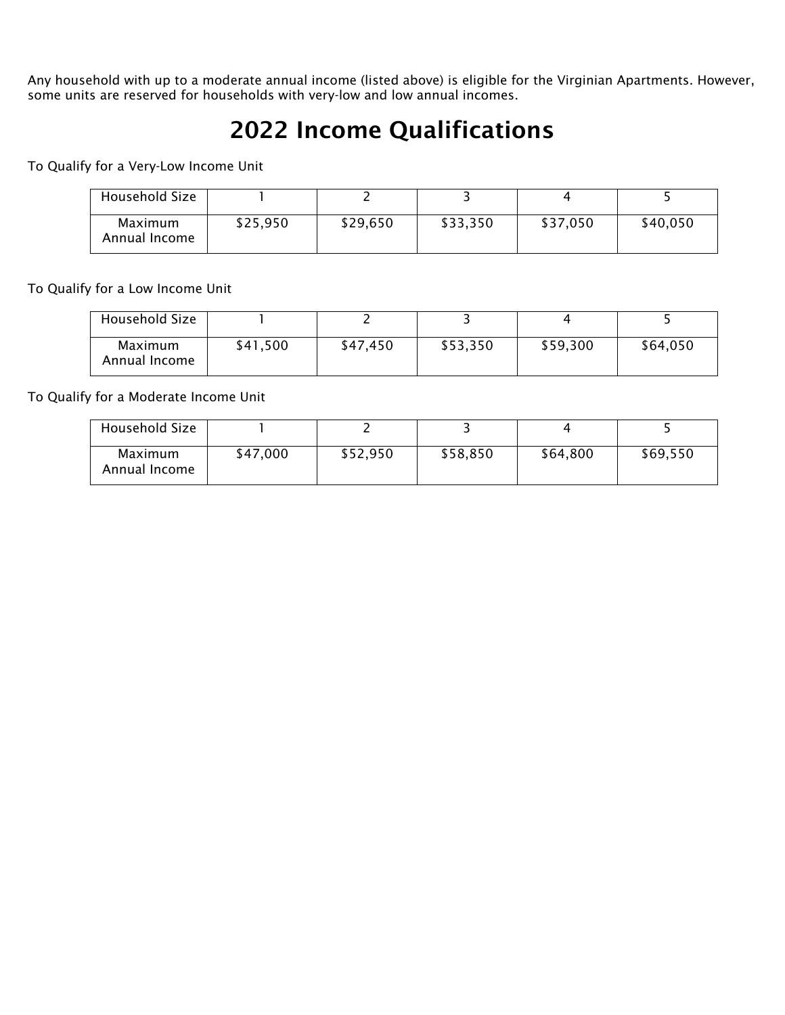Any household with up to a moderate annual income (listed above) is eligible for the Virginian Apartments. However, some units are reserved for households with very-low and low annual incomes.

# 2022 Income Qualifications

To Qualify for a Very-Low Income Unit

| Household Size           |          |          |          |          |          |
|--------------------------|----------|----------|----------|----------|----------|
| Maximum<br>Annual Income | \$25,950 | \$29,650 | \$33,350 | \$37,050 | \$40,050 |

To Qualify for a Low Income Unit

| Household Size           |          |          |          |          |          |
|--------------------------|----------|----------|----------|----------|----------|
| Maximum<br>Annual Income | \$41,500 | \$47,450 | \$53,350 | \$59,300 | \$64,050 |

To Qualify for a Moderate Income Unit

| Household Size           |          |          |          |          |          |
|--------------------------|----------|----------|----------|----------|----------|
| Maximum<br>Annual Income | \$47,000 | \$52,950 | \$58,850 | \$64,800 | \$69,550 |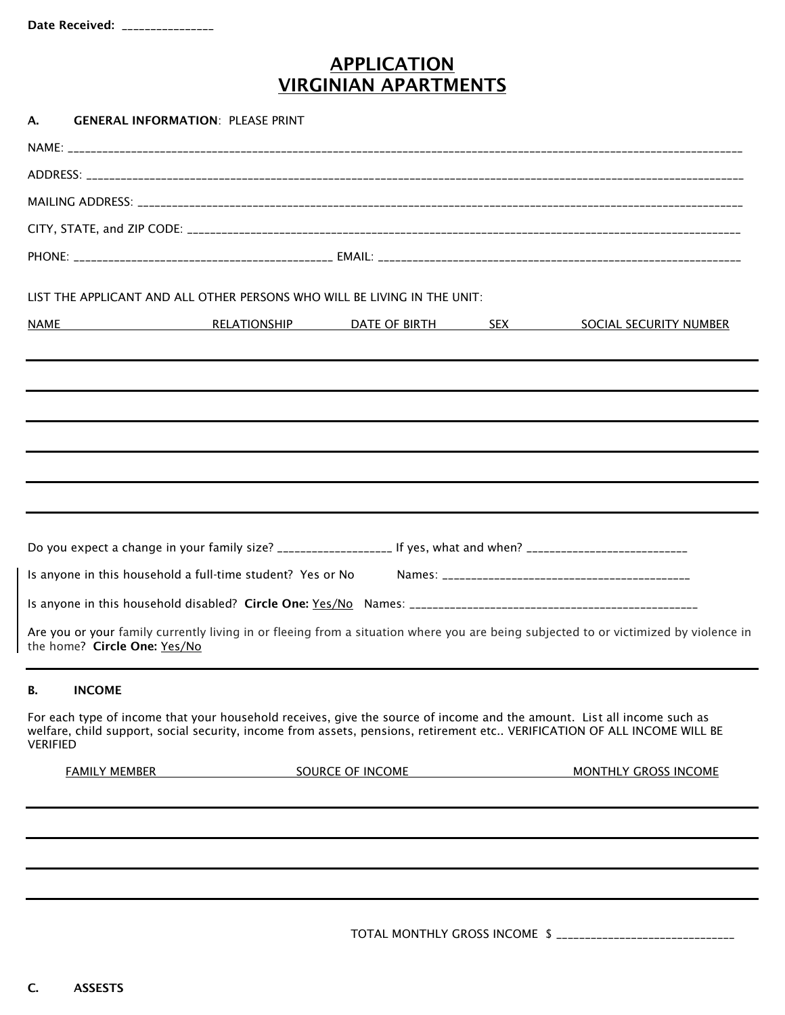### APPLICATION VIRGINIAN APARTMENTS

| А.              | <b>GENERAL INFORMATION: PLEASE PRINT</b>                   |                  |                                                                                                                      |                                                                                                                                                                                                                                                     |
|-----------------|------------------------------------------------------------|------------------|----------------------------------------------------------------------------------------------------------------------|-----------------------------------------------------------------------------------------------------------------------------------------------------------------------------------------------------------------------------------------------------|
|                 |                                                            |                  |                                                                                                                      |                                                                                                                                                                                                                                                     |
|                 |                                                            |                  |                                                                                                                      |                                                                                                                                                                                                                                                     |
|                 |                                                            |                  |                                                                                                                      |                                                                                                                                                                                                                                                     |
|                 |                                                            |                  |                                                                                                                      |                                                                                                                                                                                                                                                     |
|                 |                                                            |                  |                                                                                                                      |                                                                                                                                                                                                                                                     |
|                 |                                                            |                  | LIST THE APPLICANT AND ALL OTHER PERSONS WHO WILL BE LIVING IN THE UNIT:                                             |                                                                                                                                                                                                                                                     |
| NAME            |                                                            |                  |                                                                                                                      | <b>EXECUTE RELATIONSHIP DATE OF BIRTH SEX SOCIAL SECURITY NUMBER</b>                                                                                                                                                                                |
|                 |                                                            |                  |                                                                                                                      |                                                                                                                                                                                                                                                     |
|                 |                                                            |                  |                                                                                                                      |                                                                                                                                                                                                                                                     |
|                 |                                                            |                  |                                                                                                                      |                                                                                                                                                                                                                                                     |
|                 |                                                            |                  |                                                                                                                      |                                                                                                                                                                                                                                                     |
|                 |                                                            |                  |                                                                                                                      |                                                                                                                                                                                                                                                     |
|                 | Is anyone in this household a full-time student? Yes or No |                  | Do you expect a change in your family size? ______________________ If yes, what and when? __________________________ |                                                                                                                                                                                                                                                     |
|                 | the home? Circle One: Yes/No                               |                  |                                                                                                                      | Are you or your family currently living in or fleeing from a situation where you are being subjected to or victimized by violence in                                                                                                                |
| В.              | <b>INCOME</b>                                              |                  |                                                                                                                      |                                                                                                                                                                                                                                                     |
| <b>VERIFIED</b> |                                                            |                  |                                                                                                                      | For each type of income that your household receives, give the source of income and the amount. List all income such as<br>welfare, child support, social security, income from assets, pensions, retirement etc VERIFICATION OF ALL INCOME WILL BE |
|                 | <b>FAMILY MEMBER</b>                                       | SOURCE OF INCOME |                                                                                                                      | <b>MONTHLY GROSS INCOME</b>                                                                                                                                                                                                                         |
|                 |                                                            |                  |                                                                                                                      |                                                                                                                                                                                                                                                     |
|                 |                                                            |                  |                                                                                                                      |                                                                                                                                                                                                                                                     |
|                 |                                                            |                  |                                                                                                                      |                                                                                                                                                                                                                                                     |
|                 |                                                            |                  |                                                                                                                      | TOTAL MONTHLY GROSS INCOME \$ _______________________________                                                                                                                                                                                       |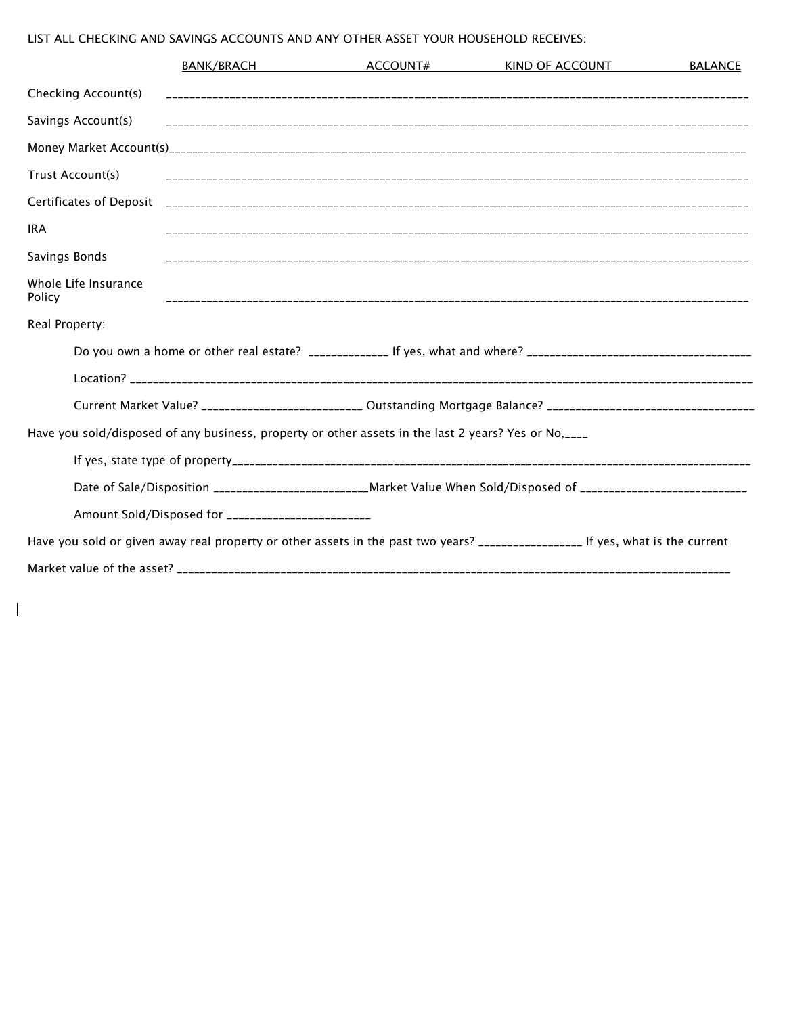#### LIST ALL CHECKING AND SAVINGS ACCOUNTS AND ANY OTHER ASSET YOUR HOUSEHOLD RECEIVES:

 $\overline{\phantom{a}}$ 

|                                | BANK/BRACH                                                                                                          | ACCOUNT# | KIND OF ACCOUNT | <b>BALANCE</b> |
|--------------------------------|---------------------------------------------------------------------------------------------------------------------|----------|-----------------|----------------|
| Checking Account(s)            |                                                                                                                     |          |                 |                |
| Savings Account(s)             |                                                                                                                     |          |                 |                |
|                                |                                                                                                                     |          |                 |                |
| Trust Account(s)               |                                                                                                                     |          |                 |                |
|                                |                                                                                                                     |          |                 |                |
| <b>IRA</b>                     |                                                                                                                     |          |                 |                |
| Savings Bonds                  |                                                                                                                     |          |                 |                |
| Whole Life Insurance<br>Policy |                                                                                                                     |          |                 |                |
| Real Property:                 |                                                                                                                     |          |                 |                |
|                                |                                                                                                                     |          |                 |                |
|                                |                                                                                                                     |          |                 |                |
|                                | Current Market Value? __________________________ Outstanding Mortgage Balance? _______________________________      |          |                 |                |
|                                | Have you sold/disposed of any business, property or other assets in the last 2 years? Yes or No, ___                |          |                 |                |
|                                |                                                                                                                     |          |                 |                |
|                                | Date of Sale/Disposition ____________________________Market Value When Sold/Disposed of ___________________________ |          |                 |                |
|                                | Amount Sold/Disposed for __________________________                                                                 |          |                 |                |
|                                |                                                                                                                     |          |                 |                |
|                                |                                                                                                                     |          |                 |                |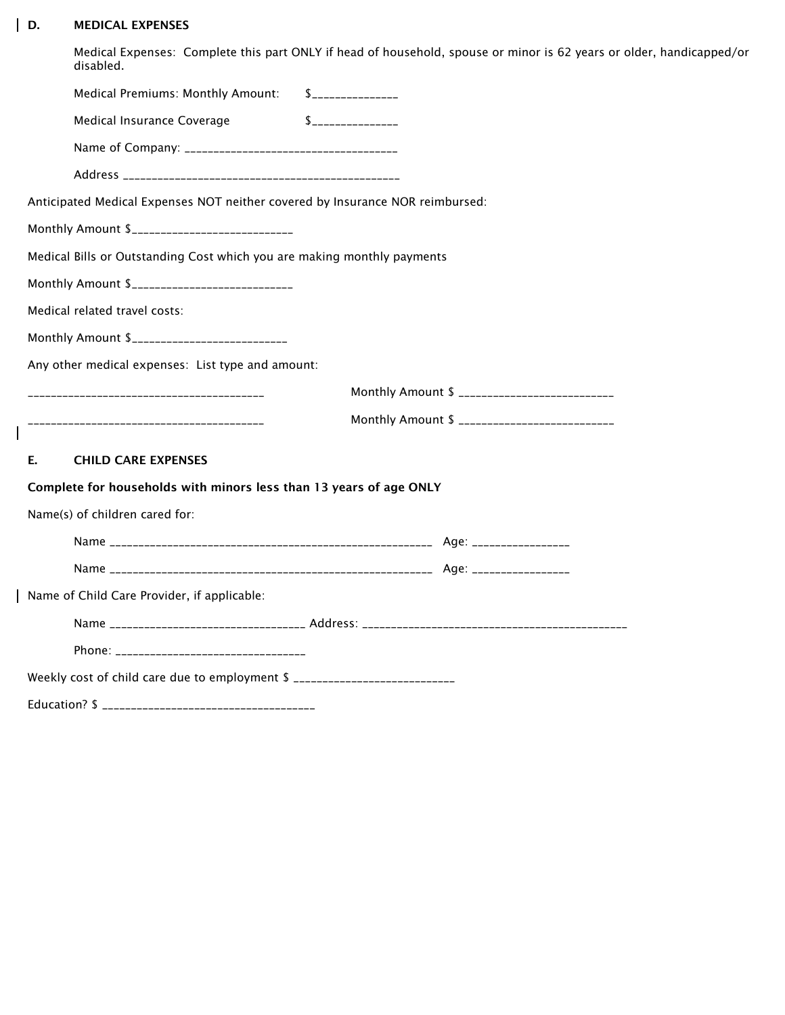#### D. MEDICAL EXPENSES

 $\mathbf{l}$ 

 $\mathsf I$ 

Medical Expenses: Complete this part ONLY if head of household, spouse or minor is 62 years or older, handicapped/or disabled.

| Medical Premiums: Monthly Amount: \$______________                            |                         |
|-------------------------------------------------------------------------------|-------------------------|
| Medical Insurance Coverage                                                    | $\int$ ________________ |
|                                                                               |                         |
|                                                                               |                         |
| Anticipated Medical Expenses NOT neither covered by Insurance NOR reimbursed: |                         |
| Monthly Amount \$____________________________                                 |                         |
| Medical Bills or Outstanding Cost which you are making monthly payments       |                         |
| Monthly Amount \$____________________________                                 |                         |
| Medical related travel costs:                                                 |                         |
| Monthly Amount \$____________________________                                 |                         |
| Any other medical expenses: List type and amount:                             |                         |
|                                                                               |                         |
|                                                                               |                         |
| E.<br><b>CHILD CARE EXPENSES</b>                                              |                         |
| Complete for households with minors less than 13 years of age ONLY            |                         |
| Name(s) of children cared for:                                                |                         |
|                                                                               |                         |
|                                                                               |                         |
| Name of Child Care Provider, if applicable:                                   |                         |
|                                                                               |                         |
|                                                                               |                         |
|                                                                               |                         |
| Weekly cost of child care due to employment \$ ____________________________   |                         |
|                                                                               |                         |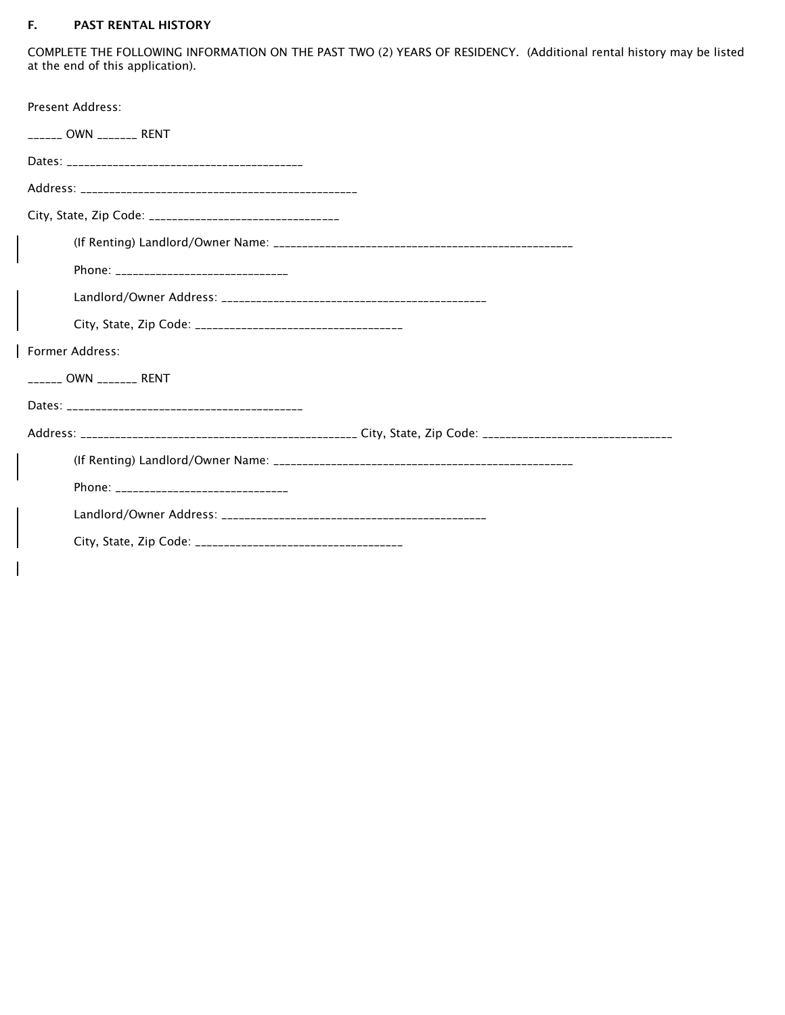#### F. PAST RENTAL HISTORY

COMPLETE THE FOLLOWING INFORMATION ON THE PAST TWO (2) YEARS OF RESIDENCY. (Additional rental history may be listed at the end of this application).

| <b>Present Address:</b>                                    |  |
|------------------------------------------------------------|--|
| _______ OWN ________ RENT                                  |  |
|                                                            |  |
|                                                            |  |
| City, State, Zip Code: ___________________________________ |  |
|                                                            |  |
| Phone: ________________________________                    |  |
|                                                            |  |
|                                                            |  |
| Former Address:                                            |  |
| ______ OWN _______ RENT                                    |  |
|                                                            |  |
|                                                            |  |
|                                                            |  |
|                                                            |  |
|                                                            |  |
|                                                            |  |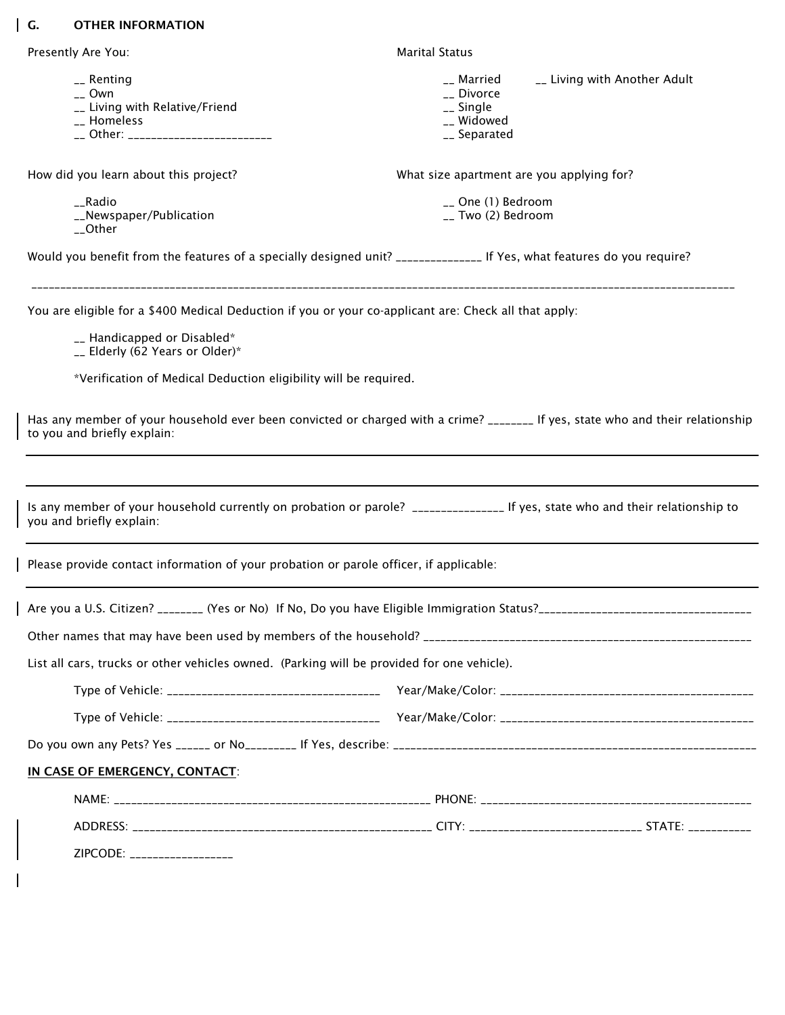### G. OTHER INFORMATION

 $\overline{\phantom{a}}$ 

| Presently Are You:                                                                                                                                                                                                                                                                                                                                                                                            | <b>Marital Status</b>                                               |                              |
|---------------------------------------------------------------------------------------------------------------------------------------------------------------------------------------------------------------------------------------------------------------------------------------------------------------------------------------------------------------------------------------------------------------|---------------------------------------------------------------------|------------------------------|
| __ Renting<br>$_{--}$ Own<br>__ Living with Relative/Friend<br>__ Homeless<br>__ Other: _________________________                                                                                                                                                                                                                                                                                             | __ Married<br>__ Divorce<br>__ Single<br>__ Widowed<br>__ Separated | __ Living with Another Adult |
| How did you learn about this project?                                                                                                                                                                                                                                                                                                                                                                         | What size apartment are you applying for?                           |                              |
| __Radio<br>__Newspaper/Publication<br>$\_$ Other                                                                                                                                                                                                                                                                                                                                                              | __ One (1) Bedroom<br>__ Two (2) Bedroom                            |                              |
| Would you benefit from the features of a specially designed unit? _______________ If Yes, what features do you require?                                                                                                                                                                                                                                                                                       |                                                                     |                              |
| You are eligible for a \$400 Medical Deduction if you or your co-applicant are: Check all that apply:<br>__ Handicapped or Disabled*<br>__ Elderly (62 Years or Older)*<br>*Verification of Medical Deduction eligibility will be required.<br>Has any member of your household ever been convicted or charged with a crime? ________ If yes, state who and their relationship<br>to you and briefly explain: |                                                                     |                              |
|                                                                                                                                                                                                                                                                                                                                                                                                               |                                                                     |                              |
| Is any member of your household currently on probation or parole? _________________ If yes, state who and their relationship to                                                                                                                                                                                                                                                                               |                                                                     |                              |
| you and briefly explain:<br>Please provide contact information of your probation or parole officer, if applicable:                                                                                                                                                                                                                                                                                            |                                                                     |                              |
| Are you a U.S. Citizen? ________ (Yes or No) If No, Do you have Eligible Immigration Status?_                                                                                                                                                                                                                                                                                                                 |                                                                     |                              |
|                                                                                                                                                                                                                                                                                                                                                                                                               |                                                                     |                              |
| List all cars, trucks or other vehicles owned. (Parking will be provided for one vehicle).                                                                                                                                                                                                                                                                                                                    |                                                                     |                              |
|                                                                                                                                                                                                                                                                                                                                                                                                               |                                                                     |                              |
|                                                                                                                                                                                                                                                                                                                                                                                                               |                                                                     |                              |
|                                                                                                                                                                                                                                                                                                                                                                                                               |                                                                     |                              |
| IN CASE OF EMERGENCY, CONTACT:                                                                                                                                                                                                                                                                                                                                                                                |                                                                     |                              |
|                                                                                                                                                                                                                                                                                                                                                                                                               |                                                                     |                              |
|                                                                                                                                                                                                                                                                                                                                                                                                               |                                                                     |                              |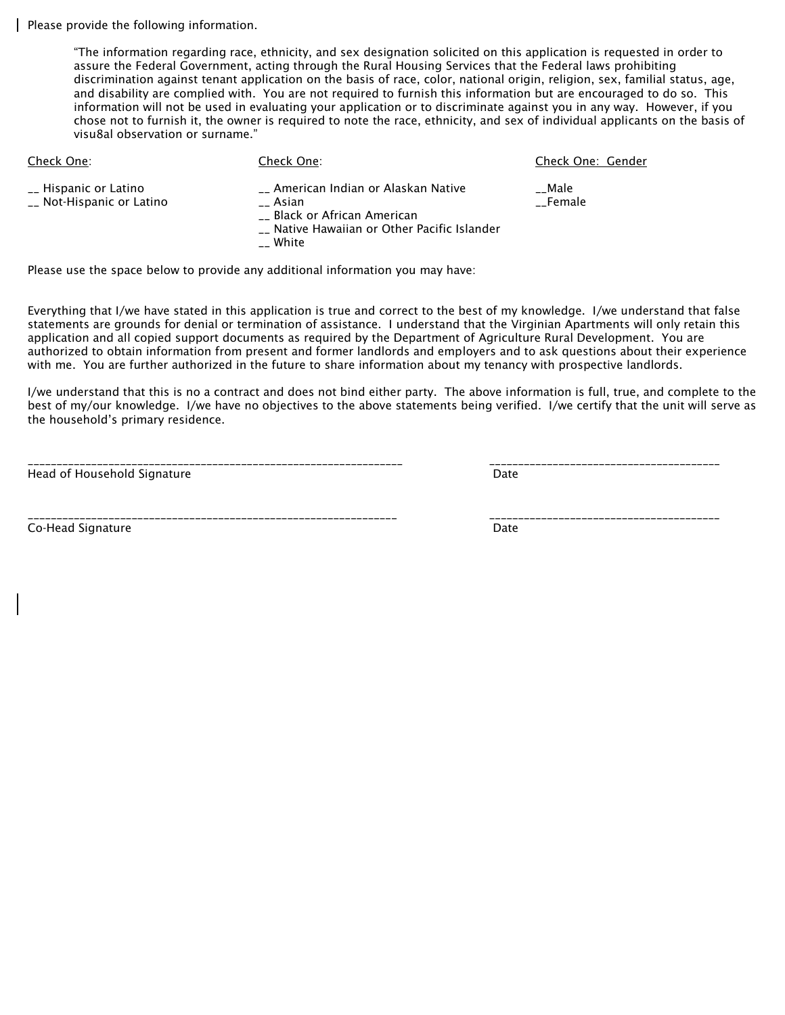Please provide the following information.

"The information regarding race, ethnicity, and sex designation solicited on this application is requested in order to assure the Federal Government, acting through the Rural Housing Services that the Federal laws prohibiting discrimination against tenant application on the basis of race, color, national origin, religion, sex, familial status, age, and disability are complied with. You are not required to furnish this information but are encouraged to do so. This information will not be used in evaluating your application or to discriminate against you in any way. However, if you chose not to furnish it, the owner is required to note the race, ethnicity, and sex of individual applicants on the basis of visu8al observation or surname."

| Check One:                                         | Check One:                                                                                                                                        | Check One: Gender |
|----------------------------------------------------|---------------------------------------------------------------------------------------------------------------------------------------------------|-------------------|
| __ Hispanic or Latino<br>__ Not-Hispanic or Latino | __ American Indian or Alaskan Native<br>Asian<br>Black or African American<br>__ Native Hawaiian or Other Pacific Islander<br>$\mathcal{L}$ White | Male<br>Female    |

Please use the space below to provide any additional information you may have:

Everything that I/we have stated in this application is true and correct to the best of my knowledge. I/we understand that false statements are grounds for denial or termination of assistance. I understand that the Virginian Apartments will only retain this application and all copied support documents as required by the Department of Agriculture Rural Development. You are authorized to obtain information from present and former landlords and employers and to ask questions about their experience with me. You are further authorized in the future to share information about my tenancy with prospective landlords.

I/we understand that this is no a contract and does not bind either party. The above information is full, true, and complete to the best of my/our knowledge. I/we have no objectives to the above statements being verified. I/we certify that the unit will serve as the household's primary residence.

\_\_\_\_\_\_\_\_\_\_\_\_\_\_\_\_\_\_\_\_\_\_\_\_\_\_\_\_\_\_\_\_\_\_\_\_\_\_\_\_\_\_\_\_\_\_\_\_\_\_\_\_\_\_\_\_\_\_\_\_\_\_\_\_\_ \_\_\_\_\_\_\_\_\_\_\_\_\_\_\_\_\_\_\_\_\_\_\_\_\_\_\_\_\_\_\_\_\_\_\_\_\_\_\_\_

Head of Household Signature **Date of American Structure Control** Date Date Date

Co-Head Signature **Date** Date of the Date of the Date of the Date of the Date of the Date of the Date of the Date of the Date of the Date of the Date of the Date of the Date of the Date of the Date of the Date of the Date

\_\_\_\_\_\_\_\_\_\_\_\_\_\_\_\_\_\_\_\_\_\_\_\_\_\_\_\_\_\_\_\_\_\_\_\_\_\_\_\_\_\_\_\_\_\_\_\_\_\_\_\_\_\_\_\_\_\_\_\_\_\_\_\_ \_\_\_\_\_\_\_\_\_\_\_\_\_\_\_\_\_\_\_\_\_\_\_\_\_\_\_\_\_\_\_\_\_\_\_\_\_\_\_\_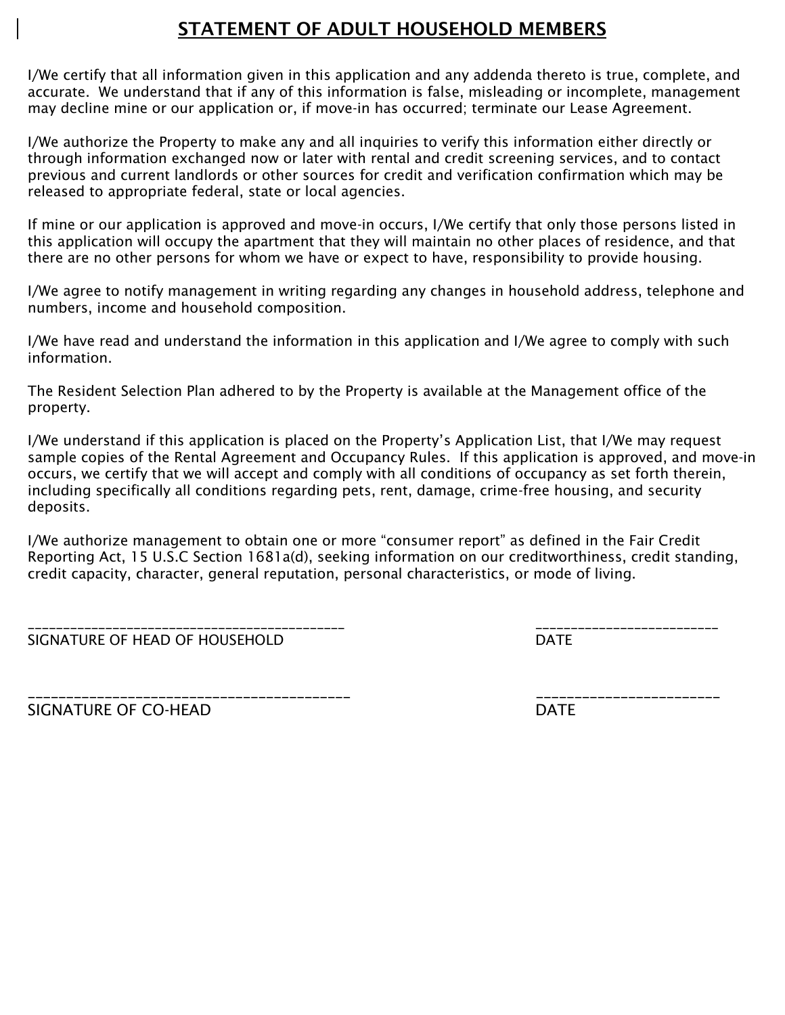### STATEMENT OF ADULT HOUSEHOLD MEMBERS

I/We certify that all information given in this application and any addenda thereto is true, complete, and accurate. We understand that if any of this information is false, misleading or incomplete, management may decline mine or our application or, if move-in has occurred; terminate our Lease Agreement.

I/We authorize the Property to make any and all inquiries to verify this information either directly or through information exchanged now or later with rental and credit screening services, and to contact previous and current landlords or other sources for credit and verification confirmation which may be released to appropriate federal, state or local agencies.

If mine or our application is approved and move-in occurs, I/We certify that only those persons listed in this application will occupy the apartment that they will maintain no other places of residence, and that there are no other persons for whom we have or expect to have, responsibility to provide housing.

I/We agree to notify management in writing regarding any changes in household address, telephone and numbers, income and household composition.

I/We have read and understand the information in this application and I/We agree to comply with such information.

The Resident Selection Plan adhered to by the Property is available at the Management office of the property.

I/We understand if this application is placed on the Property's Application List, that I/We may request sample copies of the Rental Agreement and Occupancy Rules. If this application is approved, and move-in occurs, we certify that we will accept and comply with all conditions of occupancy as set forth therein, including specifically all conditions regarding pets, rent, damage, crime-free housing, and security deposits.

I/We authorize management to obtain one or more "consumer report" as defined in the Fair Credit Reporting Act, 15 U.S.C Section 1681a(d), seeking information on our creditworthiness, credit standing, credit capacity, character, general reputation, personal characteristics, or mode of living.

| SIGNATURE OF HEAD OF HOUSEHOLD |  |
|--------------------------------|--|

\_\_\_\_\_\_\_\_\_\_\_\_\_\_\_\_\_\_\_\_\_\_\_\_\_\_\_\_\_\_\_\_\_\_\_\_\_\_\_\_\_\_\_\_\_ \_\_\_\_\_\_\_\_\_\_\_\_\_\_\_\_\_\_\_\_\_\_\_\_\_\_

SIGNATURE OF CO-HEAD DATE

\_\_\_\_\_\_\_\_\_\_\_\_\_\_\_\_\_\_\_\_\_\_\_\_\_\_\_\_\_\_\_\_\_\_\_\_\_\_\_\_\_\_ \_\_\_\_\_\_\_\_\_\_\_\_\_\_\_\_\_\_\_\_\_\_\_\_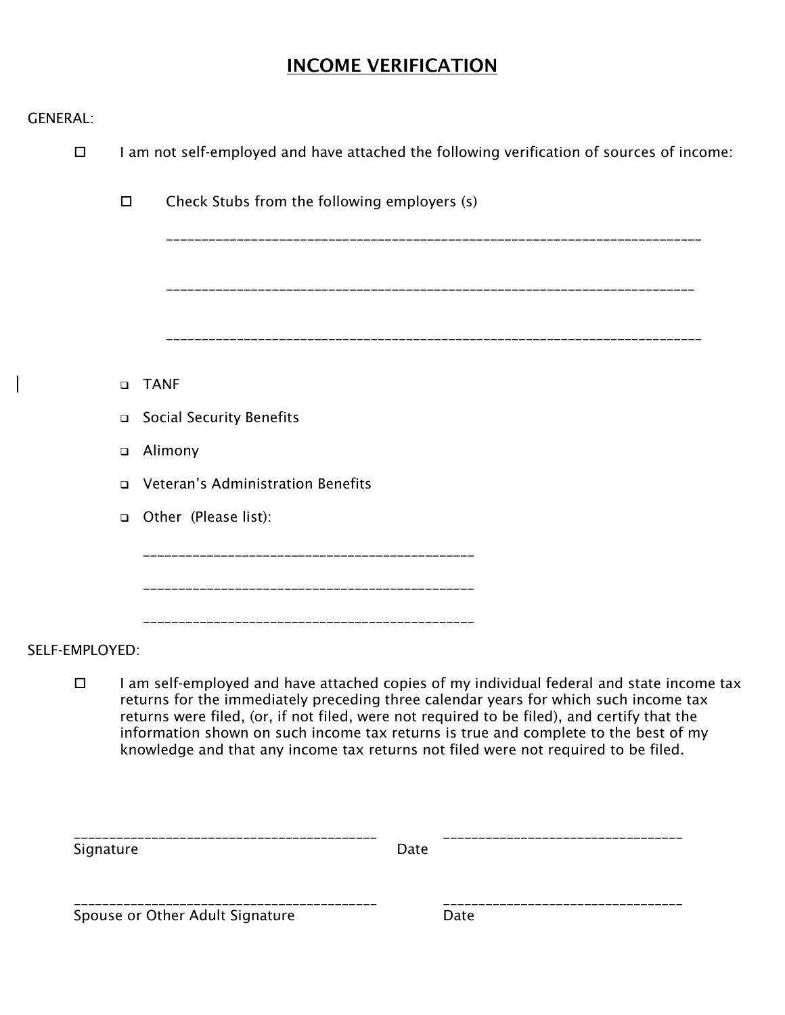# INCOME VERIFICATION

|  | <b>GENERAL:</b> |  |  |
|--|-----------------|--|--|
|  |                 |  |  |

 $\overline{\phantom{a}}$ 

| $\Box$         |           |        | I am not self-employed and have attached the following verification of sources of income:                                                                                                                                                                                                                                                                                                                                                                     |
|----------------|-----------|--------|---------------------------------------------------------------------------------------------------------------------------------------------------------------------------------------------------------------------------------------------------------------------------------------------------------------------------------------------------------------------------------------------------------------------------------------------------------------|
|                |           | $\Box$ | Check Stubs from the following employers (s)                                                                                                                                                                                                                                                                                                                                                                                                                  |
|                |           |        |                                                                                                                                                                                                                                                                                                                                                                                                                                                               |
|                |           |        |                                                                                                                                                                                                                                                                                                                                                                                                                                                               |
|                |           | $\Box$ | <b>TANF</b>                                                                                                                                                                                                                                                                                                                                                                                                                                                   |
|                |           | $\Box$ | <b>Social Security Benefits</b>                                                                                                                                                                                                                                                                                                                                                                                                                               |
|                |           | □      | Alimony                                                                                                                                                                                                                                                                                                                                                                                                                                                       |
|                |           | $\Box$ | Veteran's Administration Benefits                                                                                                                                                                                                                                                                                                                                                                                                                             |
|                |           | $\Box$ | Other (Please list):                                                                                                                                                                                                                                                                                                                                                                                                                                          |
|                |           |        |                                                                                                                                                                                                                                                                                                                                                                                                                                                               |
|                |           |        |                                                                                                                                                                                                                                                                                                                                                                                                                                                               |
| SELF-EMPLOYED: |           |        |                                                                                                                                                                                                                                                                                                                                                                                                                                                               |
|                | $\Box$    |        | I am self-employed and have attached copies of my individual federal and state income tax<br>returns for the immediately preceding three calendar years for which such income tax<br>returns were filed, (or, if not filed, were not required to be filed), and certify that the<br>information shown on such income tax returns is true and complete to the best of my<br>knowledge and that any income tax returns not filed were not required to be filed. |
|                | Signature |        | Date                                                                                                                                                                                                                                                                                                                                                                                                                                                          |

Spouse or Other Adult Signature **Particle Server** Date

\_\_\_\_\_\_\_\_\_\_\_\_\_\_\_\_\_\_\_\_\_\_\_\_\_\_\_\_\_\_\_\_\_\_\_\_\_\_\_\_\_\_\_ \_\_\_\_\_\_\_\_\_\_\_\_\_\_\_\_\_\_\_\_\_\_\_\_\_\_\_\_\_\_\_\_\_\_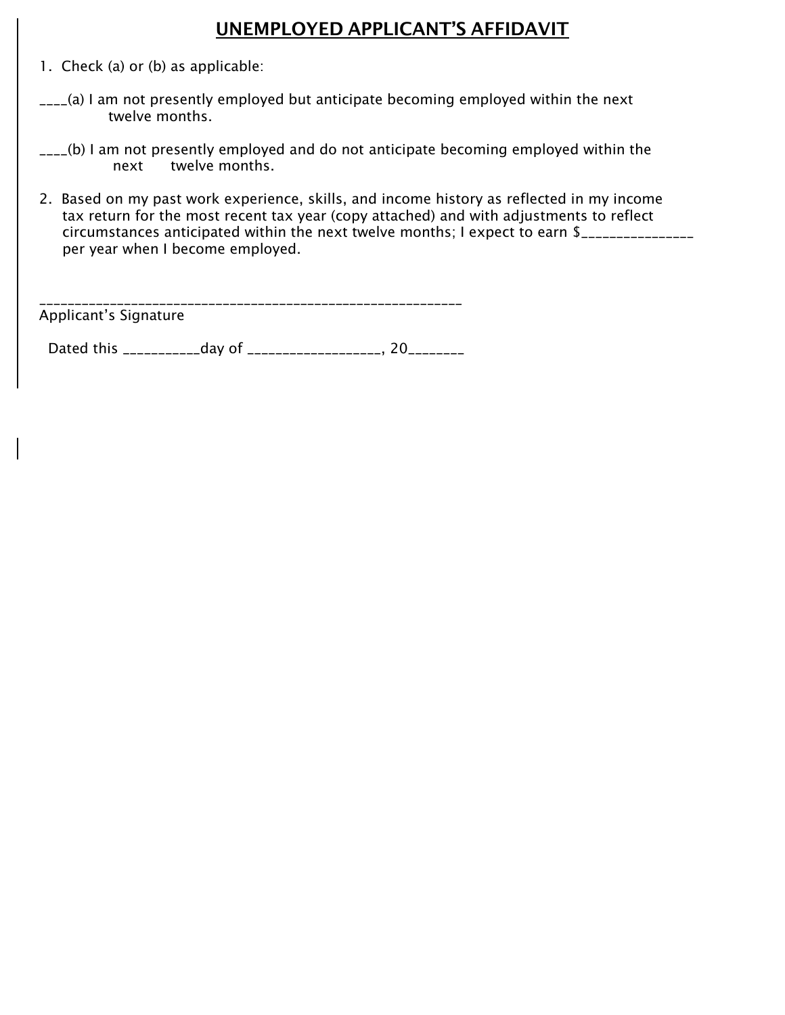### UNEMPLOYED APPLICANT'S AFFIDAVIT

- 1. Check (a) or (b) as applicable:
- $L_{\text{max}}(a)$  I am not presently employed but anticipate becoming employed within the next twelve months.
- \_\_\_\_(b) I am not presently employed and do not anticipate becoming employed within the next twelve months.
- 2. Based on my past work experience, skills, and income history as reflected in my income tax return for the most recent tax year (copy attached) and with adjustments to reflect circumstances anticipated within the next twelve months; I expect to earn \$\_\_\_\_\_\_\_\_\_\_\_\_\_\_\_\_ per year when I become employed.

\_\_\_\_\_\_\_\_\_\_\_\_\_\_\_\_\_\_\_\_\_\_\_\_\_\_\_\_\_\_\_\_\_\_\_\_\_\_\_\_\_\_\_\_\_\_\_\_\_\_\_\_\_\_\_\_\_\_\_\_ Applicant's Signature

Dated this \_\_\_\_\_\_\_\_\_\_\_\_\_day of \_\_\_\_\_\_\_\_\_\_\_\_\_\_\_\_\_\_\_\_, 20\_\_\_\_\_\_\_\_\_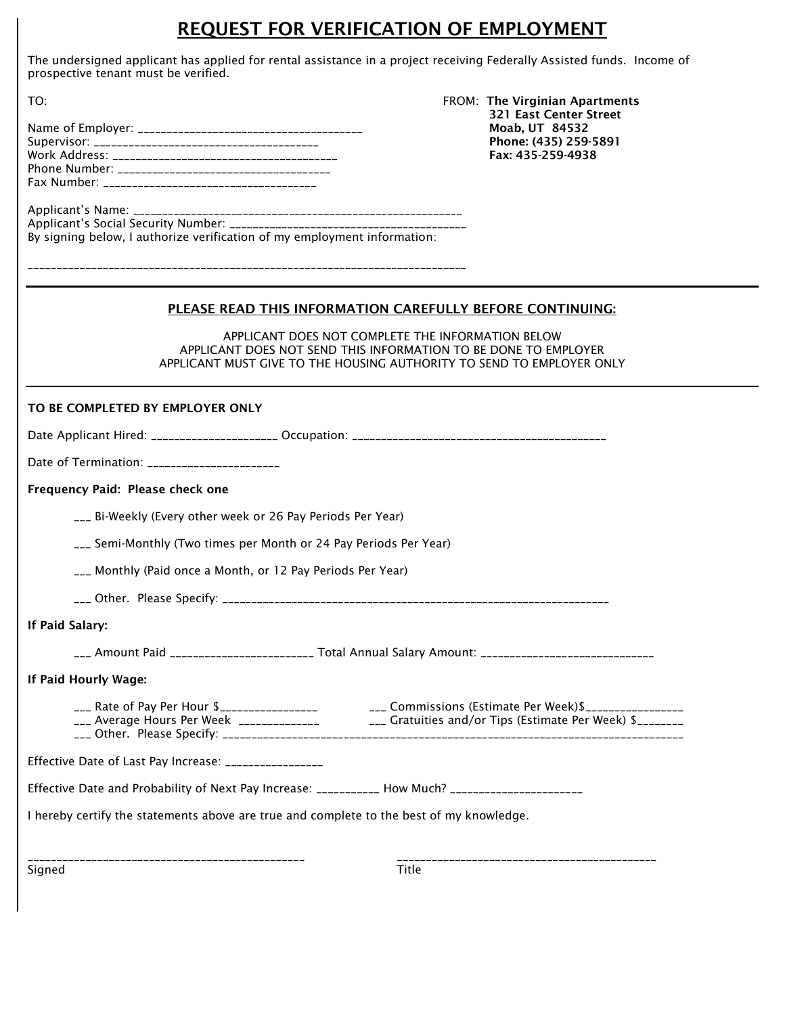### REQUEST FOR VERIFICATION OF EMPLOYMENT

The undersigned applicant has applied for rental assistance in a project receiving Federally Assisted funds. Income of prospective tenant must be verified.

| -521 East Center Street |
|-------------------------|
| Moab. UT 84532          |
| Phone: (435) 259-5891   |
| Fax: 435-259-4938       |
|                         |
|                         |

TO: FROM: The Virginian Apartments 321 East Center Street

| By signing below, I authorize verification of my employment information: |
|--------------------------------------------------------------------------|

\_\_\_\_\_\_\_\_\_\_\_\_\_\_\_\_\_\_\_\_\_\_\_\_\_\_\_\_\_\_\_\_\_\_\_\_\_\_\_\_\_\_\_\_\_\_\_\_\_\_\_\_\_\_\_\_\_\_\_\_\_\_\_\_\_\_\_\_\_\_\_\_\_\_\_\_

#### PLEASE READ THIS INFORMATION CAREFULLY BEFORE CONTINUING:

APPLICANT DOES NOT COMPLETE THE INFORMATION BELOW APPLICANT DOES NOT SEND THIS INFORMATION TO BE DONE TO EMPLOYER APPLICANT MUST GIVE TO THE HOUSING AUTHORITY TO SEND TO EMPLOYER ONLY

| TO BE COMPLETED BY EMPLOYER ONLY                                                                  |                                                                                                                                                                                                                    |  |  |  |
|---------------------------------------------------------------------------------------------------|--------------------------------------------------------------------------------------------------------------------------------------------------------------------------------------------------------------------|--|--|--|
|                                                                                                   |                                                                                                                                                                                                                    |  |  |  |
| Date of Termination: _______________________                                                      |                                                                                                                                                                                                                    |  |  |  |
| Frequency Paid: Please check one                                                                  |                                                                                                                                                                                                                    |  |  |  |
| ___ Bi-Weekly (Every other week or 26 Pay Periods Per Year)                                       |                                                                                                                                                                                                                    |  |  |  |
| ___ Semi-Monthly (Two times per Month or 24 Pay Periods Per Year)                                 |                                                                                                                                                                                                                    |  |  |  |
| ___ Monthly (Paid once a Month, or 12 Pay Periods Per Year)                                       |                                                                                                                                                                                                                    |  |  |  |
|                                                                                                   |                                                                                                                                                                                                                    |  |  |  |
| If Paid Salary:                                                                                   |                                                                                                                                                                                                                    |  |  |  |
|                                                                                                   | ___ Amount Paid _______________________ Total Annual Salary Amount: _______________________________                                                                                                                |  |  |  |
| If Paid Hourly Wage:                                                                              |                                                                                                                                                                                                                    |  |  |  |
|                                                                                                   | ___ Rate of Pay Per Hour \$___________________________________Commissions (Estimate Per Week)\$_________________<br>___ Average Hours Per Week ______________ dratuities and/or Tips (Estimate Per Week) \$_______ |  |  |  |
| Effective Date of Last Pay Increase: ________________                                             |                                                                                                                                                                                                                    |  |  |  |
| Effective Date and Probability of Next Pay Increase: ___________ How Much? ______________________ |                                                                                                                                                                                                                    |  |  |  |
| I hereby certify the statements above are true and complete to the best of my knowledge.          |                                                                                                                                                                                                                    |  |  |  |
| Signed                                                                                            | -------------------------------------<br><b>Title</b>                                                                                                                                                              |  |  |  |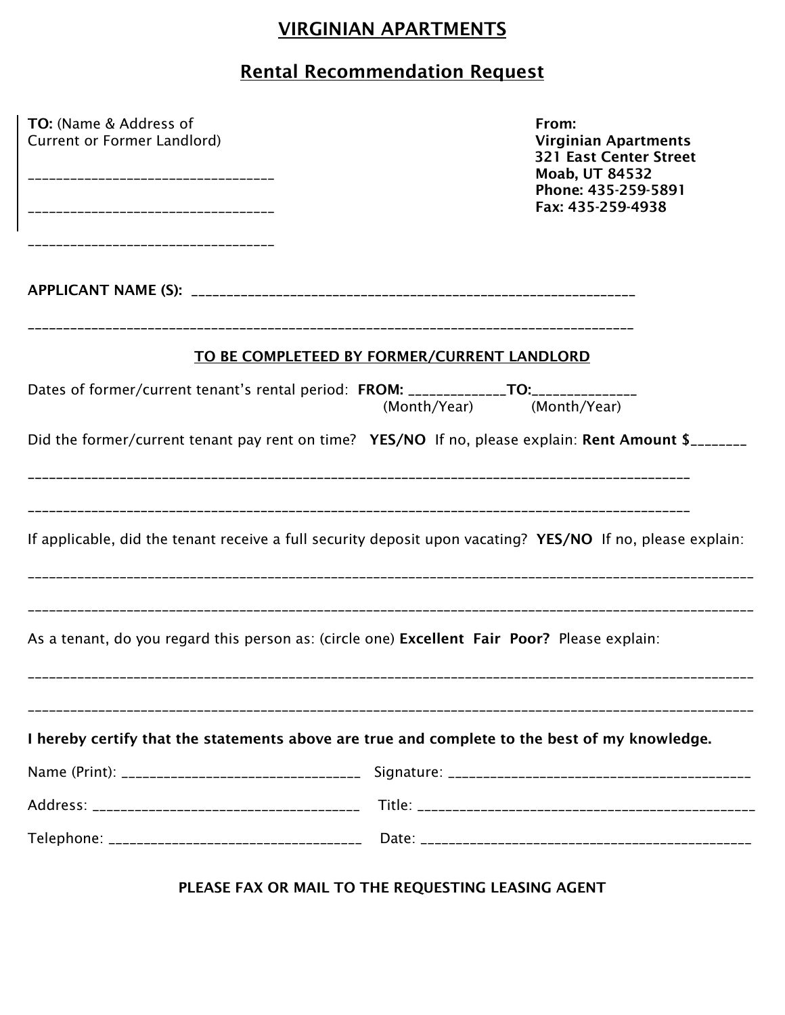## VIRGINIAN APARTMENTS

# Rental Recommendation Request

| TO: (Name & Address of<br>Current or Former Landlord)                                         | From:<br><b>Virginian Apartments</b><br><b>321 East Center Street</b><br><b>Moab, UT 84532</b><br>Phone: 435-259-5891<br>Fax: 435-259-4938 |  |  |  |
|-----------------------------------------------------------------------------------------------|--------------------------------------------------------------------------------------------------------------------------------------------|--|--|--|
|                                                                                               |                                                                                                                                            |  |  |  |
|                                                                                               | TO BE COMPLETEED BY FORMER/CURRENT LANDLORD                                                                                                |  |  |  |
| Dates of former/current tenant's rental period: FROM: ______________TO:__________             | (Month/Year)<br>(Month/Year)                                                                                                               |  |  |  |
|                                                                                               | Did the former/current tenant pay rent on time? YES/NO If no, please explain: Rent Amount \$                                               |  |  |  |
|                                                                                               | If applicable, did the tenant receive a full security deposit upon vacating? YES/NO If no, please explain:                                 |  |  |  |
| As a tenant, do you regard this person as: (circle one) Excellent Fair Poor? Please explain:  |                                                                                                                                            |  |  |  |
| I hereby certify that the statements above are true and complete to the best of my knowledge. |                                                                                                                                            |  |  |  |
|                                                                                               |                                                                                                                                            |  |  |  |
|                                                                                               |                                                                                                                                            |  |  |  |
|                                                                                               |                                                                                                                                            |  |  |  |

PLEASE FAX OR MAIL TO THE REQUESTING LEASING AGENT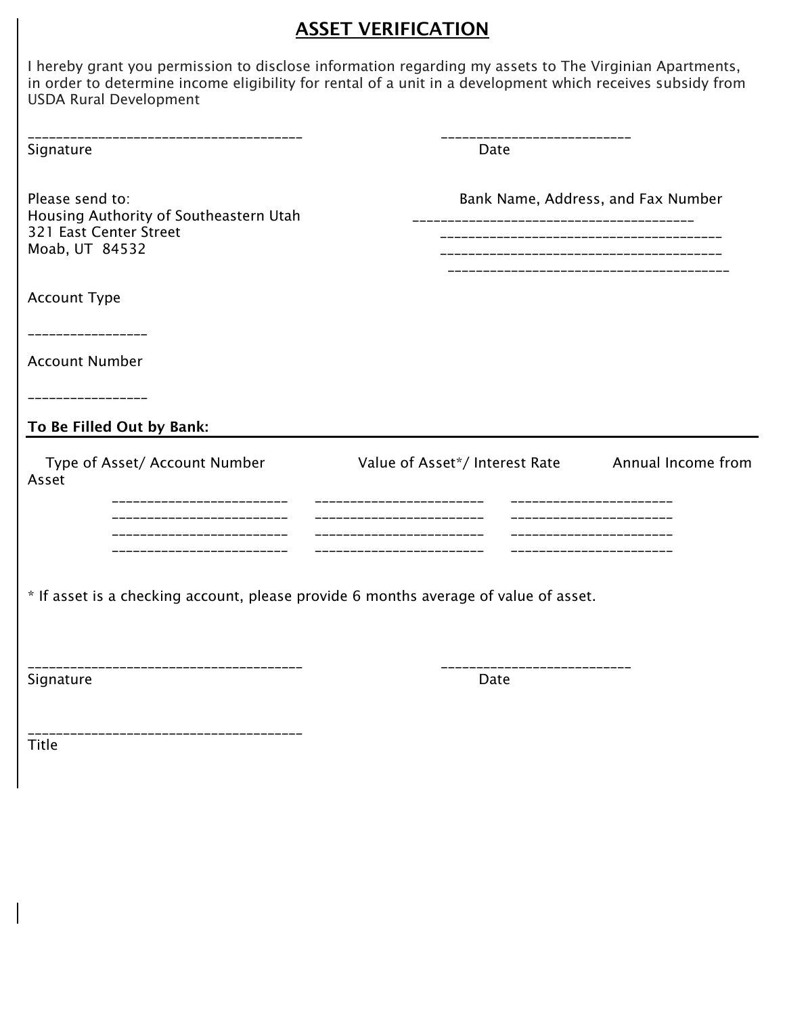### **ASSET VERIFICATION**

I hereby grant you permission to disclose information regarding my assets to The Virginian Apartments, in order to determine income eligibility for rental of a unit in a development which receives subsidy from USDA Rural Development

| _______________________________<br>Signature                                                          | Date                                                                                                                  |                    |
|-------------------------------------------------------------------------------------------------------|-----------------------------------------------------------------------------------------------------------------------|--------------------|
| Please send to:<br>Housing Authority of Southeastern Utah<br>321 East Center Street<br>Moab, UT 84532 | Bank Name, Address, and Fax Number                                                                                    |                    |
| <b>Account Type</b>                                                                                   |                                                                                                                       |                    |
| ----------------                                                                                      |                                                                                                                       |                    |
| <b>Account Number</b>                                                                                 |                                                                                                                       |                    |
| ______________                                                                                        |                                                                                                                       |                    |
| To Be Filled Out by Bank:                                                                             |                                                                                                                       |                    |
| Type of Asset/ Account Number<br>Asset<br>_____________________<br>----------------------             | Value of Asset*/ Interest Rate<br>_________________________<br>._____________________<br>---------------------------- | Annual Income from |
| ---------------------<br>--------------------                                                         |                                                                                                                       |                    |
| * If asset is a checking account, please provide 6 months average of value of asset.                  |                                                                                                                       |                    |
| ----------------------------<br>Signature                                                             | Date                                                                                                                  |                    |

Title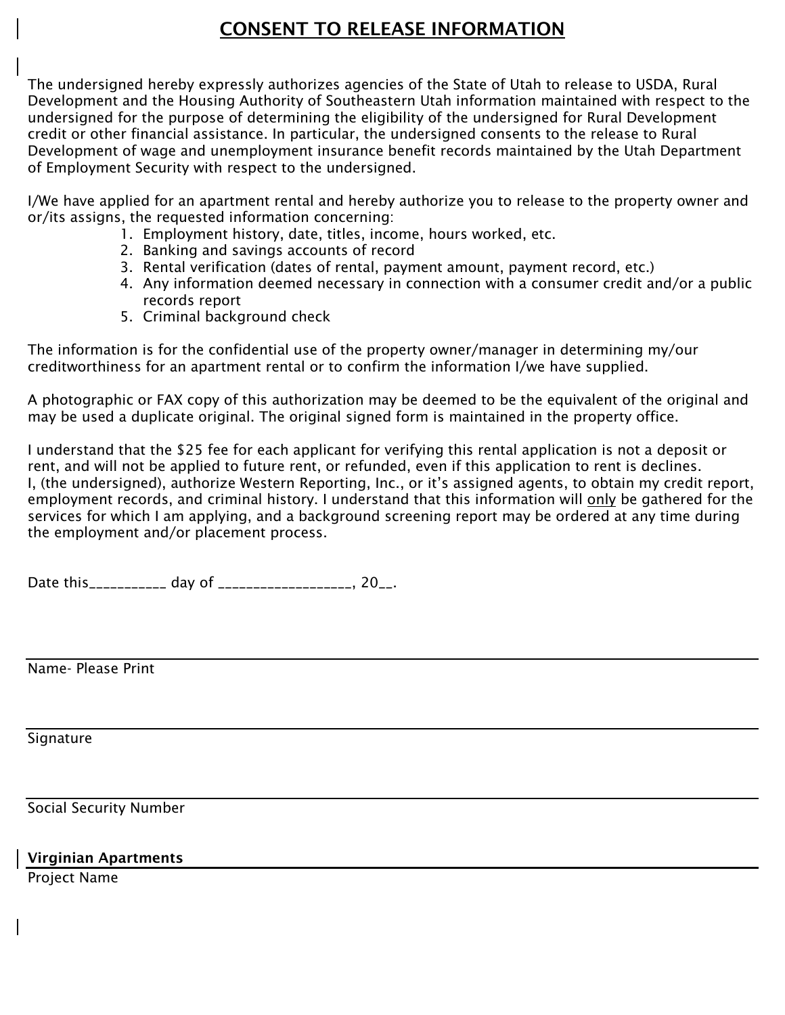### CONSENT TO RELEASE INFORMATION

The undersigned hereby expressly authorizes agencies of the State of Utah to release to USDA, Rural Development and the Housing Authority of Southeastern Utah information maintained with respect to the undersigned for the purpose of determining the eligibility of the undersigned for Rural Development credit or other financial assistance. In particular, the undersigned consents to the release to Rural Development of wage and unemployment insurance benefit records maintained by the Utah Department of Employment Security with respect to the undersigned.

I/We have applied for an apartment rental and hereby authorize you to release to the property owner and or/its assigns, the requested information concerning:

- 1. Employment history, date, titles, income, hours worked, etc.
- 2. Banking and savings accounts of record
- 3. Rental verification (dates of rental, payment amount, payment record, etc.)
- 4. Any information deemed necessary in connection with a consumer credit and/or a public records report
- 5. Criminal background check

The information is for the confidential use of the property owner/manager in determining my/our creditworthiness for an apartment rental or to confirm the information I/we have supplied.

A photographic or FAX copy of this authorization may be deemed to be the equivalent of the original and may be used a duplicate original. The original signed form is maintained in the property office.

I understand that the \$25 fee for each applicant for verifying this rental application is not a deposit or rent, and will not be applied to future rent, or refunded, even if this application to rent is declines. I, (the undersigned), authorize Western Reporting, Inc., or it's assigned agents, to obtain my credit report, employment records, and criminal history. I understand that this information will only be gathered for the services for which I am applying, and a background screening report may be ordered at any time during the employment and/or placement process.

Date this\_\_\_\_\_\_\_\_\_\_\_\_ day of \_\_\_\_\_\_\_\_\_\_\_\_\_\_\_\_\_\_\_\_, 20\_\_.

Name- Please Print

Signature

Social Security Number

#### Virginian Apartments

Project Name